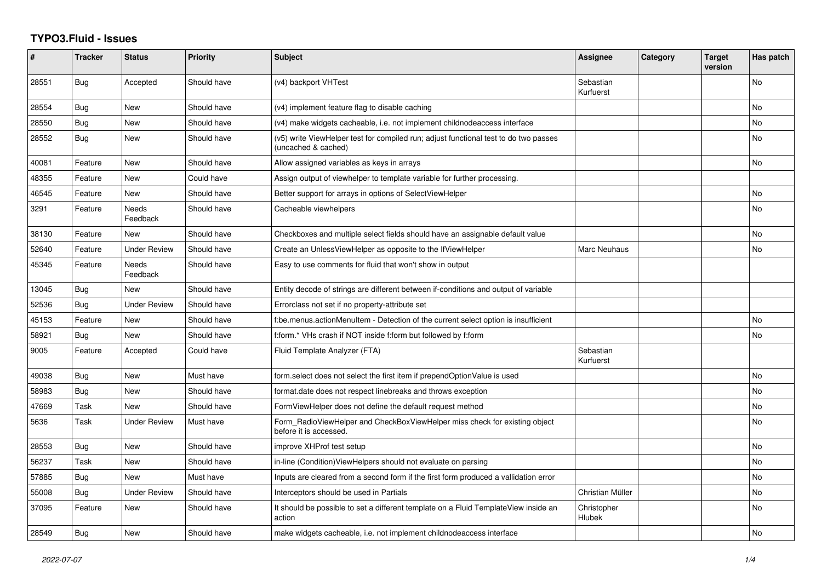## **TYPO3.Fluid - Issues**

| #     | <b>Tracker</b> | <b>Status</b>       | <b>Priority</b> | <b>Subject</b>                                                                                              | Assignee               | Category | <b>Target</b><br>version | Has patch |
|-------|----------------|---------------------|-----------------|-------------------------------------------------------------------------------------------------------------|------------------------|----------|--------------------------|-----------|
| 28551 | Bug            | Accepted            | Should have     | (v4) backport VHTest                                                                                        | Sebastian<br>Kurfuerst |          |                          | No        |
| 28554 | <b>Bug</b>     | New                 | Should have     | (v4) implement feature flag to disable caching                                                              |                        |          |                          | <b>No</b> |
| 28550 | <b>Bug</b>     | New                 | Should have     | (v4) make widgets cacheable, i.e. not implement childnodeaccess interface                                   |                        |          |                          | <b>No</b> |
| 28552 | Bug            | New                 | Should have     | (v5) write ViewHelper test for compiled run; adjust functional test to do two passes<br>(uncached & cached) |                        |          |                          | No        |
| 40081 | Feature        | New                 | Should have     | Allow assigned variables as keys in arrays                                                                  |                        |          |                          | <b>No</b> |
| 48355 | Feature        | New                 | Could have      | Assign output of viewhelper to template variable for further processing.                                    |                        |          |                          |           |
| 46545 | Feature        | New                 | Should have     | Better support for arrays in options of SelectViewHelper                                                    |                        |          |                          | No        |
| 3291  | Feature        | Needs<br>Feedback   | Should have     | Cacheable viewhelpers                                                                                       |                        |          |                          | <b>No</b> |
| 38130 | Feature        | New                 | Should have     | Checkboxes and multiple select fields should have an assignable default value                               |                        |          |                          | <b>No</b> |
| 52640 | Feature        | <b>Under Review</b> | Should have     | Create an UnlessViewHelper as opposite to the IfViewHelper                                                  | Marc Neuhaus           |          |                          | No        |
| 45345 | Feature        | Needs<br>Feedback   | Should have     | Easy to use comments for fluid that won't show in output                                                    |                        |          |                          |           |
| 13045 | Bug            | New                 | Should have     | Entity decode of strings are different between if-conditions and output of variable                         |                        |          |                          |           |
| 52536 | Bug            | <b>Under Review</b> | Should have     | Errorclass not set if no property-attribute set                                                             |                        |          |                          |           |
| 45153 | Feature        | New                 | Should have     | f:be.menus.actionMenuItem - Detection of the current select option is insufficient                          |                        |          |                          | <b>No</b> |
| 58921 | <b>Bug</b>     | <b>New</b>          | Should have     | f:form.* VHs crash if NOT inside f:form but followed by f:form                                              |                        |          |                          | <b>No</b> |
| 9005  | Feature        | Accepted            | Could have      | Fluid Template Analyzer (FTA)                                                                               | Sebastian<br>Kurfuerst |          |                          |           |
| 49038 | Bug            | New                 | Must have       | form.select does not select the first item if prependOptionValue is used                                    |                        |          |                          | <b>No</b> |
| 58983 | Bug            | New                 | Should have     | format.date does not respect linebreaks and throws exception                                                |                        |          |                          | <b>No</b> |
| 47669 | Task           | New                 | Should have     | FormViewHelper does not define the default request method                                                   |                        |          |                          | No        |
| 5636  | Task           | Under Review        | Must have       | Form_RadioViewHelper and CheckBoxViewHelper miss check for existing object<br>before it is accessed.        |                        |          |                          | <b>No</b> |
| 28553 | <b>Bug</b>     | <b>New</b>          | Should have     | improve XHProf test setup                                                                                   |                        |          |                          | <b>No</b> |
| 56237 | Task           | <b>New</b>          | Should have     | in-line (Condition) View Helpers should not evaluate on parsing                                             |                        |          |                          | No        |
| 57885 | <b>Bug</b>     | New                 | Must have       | Inputs are cleared from a second form if the first form produced a vallidation error                        |                        |          |                          | <b>No</b> |
| 55008 | Bug            | Under Review        | Should have     | Interceptors should be used in Partials                                                                     | Christian Müller       |          |                          | No        |
| 37095 | Feature        | <b>New</b>          | Should have     | It should be possible to set a different template on a Fluid TemplateView inside an<br>action               | Christopher<br>Hlubek  |          |                          | <b>No</b> |
| 28549 | Bug            | New                 | Should have     | make widgets cacheable, i.e. not implement childnodeaccess interface                                        |                        |          |                          | No        |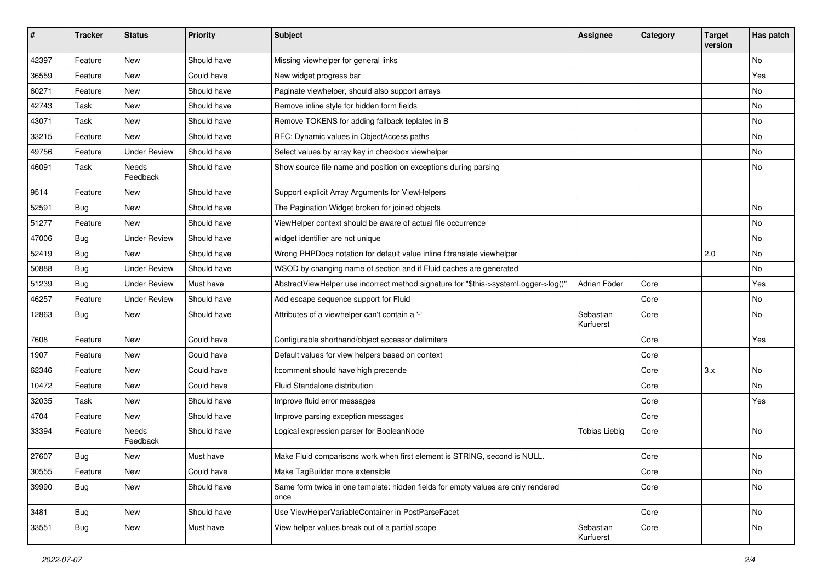| #     | <b>Tracker</b> | <b>Status</b>       | <b>Priority</b> | <b>Subject</b>                                                                            | <b>Assignee</b>        | Category | <b>Target</b><br>version | Has patch |
|-------|----------------|---------------------|-----------------|-------------------------------------------------------------------------------------------|------------------------|----------|--------------------------|-----------|
| 42397 | Feature        | New                 | Should have     | Missing viewhelper for general links                                                      |                        |          |                          | <b>No</b> |
| 36559 | Feature        | New                 | Could have      | New widget progress bar                                                                   |                        |          |                          | Yes       |
| 60271 | Feature        | New                 | Should have     | Paginate viewhelper, should also support arrays                                           |                        |          |                          | No        |
| 42743 | Task           | New                 | Should have     | Remove inline style for hidden form fields                                                |                        |          |                          | No        |
| 43071 | Task           | New                 | Should have     | Remove TOKENS for adding fallback teplates in B                                           |                        |          |                          | No        |
| 33215 | Feature        | New                 | Should have     | RFC: Dynamic values in ObjectAccess paths                                                 |                        |          |                          | No        |
| 49756 | Feature        | <b>Under Review</b> | Should have     | Select values by array key in checkbox viewhelper                                         |                        |          |                          | No        |
| 46091 | Task           | Needs<br>Feedback   | Should have     | Show source file name and position on exceptions during parsing                           |                        |          |                          | No        |
| 9514  | Feature        | New                 | Should have     | Support explicit Array Arguments for ViewHelpers                                          |                        |          |                          |           |
| 52591 | Bug            | New                 | Should have     | The Pagination Widget broken for joined objects                                           |                        |          |                          | No        |
| 51277 | Feature        | New                 | Should have     | ViewHelper context should be aware of actual file occurrence                              |                        |          |                          | No        |
| 47006 | Bug            | <b>Under Review</b> | Should have     | widget identifier are not unique                                                          |                        |          |                          | No        |
| 52419 | Bug            | New                 | Should have     | Wrong PHPDocs notation for default value inline f:translate viewhelper                    |                        |          | 2.0                      | No        |
| 50888 | Bug            | <b>Under Review</b> | Should have     | WSOD by changing name of section and if Fluid caches are generated                        |                        |          |                          | No        |
| 51239 | Bug            | <b>Under Review</b> | Must have       | AbstractViewHelper use incorrect method signature for "\$this->systemLogger->log()"       | Adrian Föder           | Core     |                          | Yes       |
| 46257 | Feature        | <b>Under Review</b> | Should have     | Add escape sequence support for Fluid                                                     |                        | Core     |                          | No        |
| 12863 | Bug            | New                 | Should have     | Attributes of a viewhelper can't contain a '-'                                            | Sebastian<br>Kurfuerst | Core     |                          | No        |
| 7608  | Feature        | New                 | Could have      | Configurable shorthand/object accessor delimiters                                         |                        | Core     |                          | Yes       |
| 1907  | Feature        | New                 | Could have      | Default values for view helpers based on context                                          |                        | Core     |                          |           |
| 62346 | Feature        | New                 | Could have      | f:comment should have high precende                                                       |                        | Core     | 3.x                      | No        |
| 10472 | Feature        | New                 | Could have      | Fluid Standalone distribution                                                             |                        | Core     |                          | No        |
| 32035 | Task           | New                 | Should have     | Improve fluid error messages                                                              |                        | Core     |                          | Yes       |
| 4704  | Feature        | New                 | Should have     | Improve parsing exception messages                                                        |                        | Core     |                          |           |
| 33394 | Feature        | Needs<br>Feedback   | Should have     | Logical expression parser for BooleanNode                                                 | <b>Tobias Liebig</b>   | Core     |                          | <b>No</b> |
| 27607 | Bug            | New                 | Must have       | Make Fluid comparisons work when first element is STRING, second is NULL.                 |                        | Core     |                          | No        |
| 30555 | Feature        | New                 | Could have      | Make TagBuilder more extensible                                                           |                        | Core     |                          | No        |
| 39990 | <b>Bug</b>     | New                 | Should have     | Same form twice in one template: hidden fields for empty values are only rendered<br>once |                        | Core     |                          | No        |
| 3481  | <b>Bug</b>     | New                 | Should have     | Use ViewHelperVariableContainer in PostParseFacet                                         |                        | Core     |                          | No        |
| 33551 | <b>Bug</b>     | New                 | Must have       | View helper values break out of a partial scope                                           | Sebastian<br>Kurfuerst | Core     |                          | No        |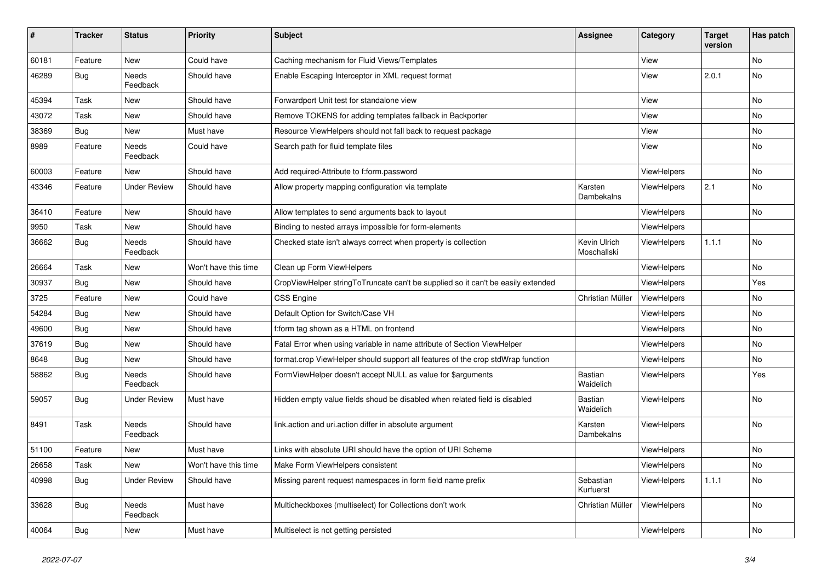| $\vert$ # | <b>Tracker</b> | <b>Status</b>       | <b>Priority</b>      | <b>Subject</b>                                                                   | <b>Assignee</b>             | Category           | <b>Target</b><br>version | Has patch |
|-----------|----------------|---------------------|----------------------|----------------------------------------------------------------------------------|-----------------------------|--------------------|--------------------------|-----------|
| 60181     | Feature        | <b>New</b>          | Could have           | Caching mechanism for Fluid Views/Templates                                      |                             | View               |                          | <b>No</b> |
| 46289     | <b>Bug</b>     | Needs<br>Feedback   | Should have          | Enable Escaping Interceptor in XML request format                                |                             | View               | 2.0.1                    | <b>No</b> |
| 45394     | Task           | New                 | Should have          | Forwardport Unit test for standalone view                                        |                             | View               |                          | <b>No</b> |
| 43072     | Task           | New                 | Should have          | Remove TOKENS for adding templates fallback in Backporter                        |                             | View               |                          | <b>No</b> |
| 38369     | <b>Bug</b>     | New                 | Must have            | Resource ViewHelpers should not fall back to request package                     |                             | View               |                          | No        |
| 8989      | Feature        | Needs<br>Feedback   | Could have           | Search path for fluid template files                                             |                             | View               |                          | No        |
| 60003     | Feature        | New                 | Should have          | Add required-Attribute to f:form.password                                        |                             | <b>ViewHelpers</b> |                          | No        |
| 43346     | Feature        | <b>Under Review</b> | Should have          | Allow property mapping configuration via template                                | Karsten<br>Dambekalns       | <b>ViewHelpers</b> | 2.1                      | No        |
| 36410     | Feature        | New                 | Should have          | Allow templates to send arguments back to layout                                 |                             | ViewHelpers        |                          | <b>No</b> |
| 9950      | Task           | New                 | Should have          | Binding to nested arrays impossible for form-elements                            |                             | ViewHelpers        |                          |           |
| 36662     | <b>Bug</b>     | Needs<br>Feedback   | Should have          | Checked state isn't always correct when property is collection                   | Kevin Ulrich<br>Moschallski | <b>ViewHelpers</b> | 1.1.1                    | <b>No</b> |
| 26664     | Task           | New                 | Won't have this time | Clean up Form ViewHelpers                                                        |                             | ViewHelpers        |                          | No        |
| 30937     | Bug            | New                 | Should have          | CropViewHelper stringToTruncate can't be supplied so it can't be easily extended |                             | ViewHelpers        |                          | Yes       |
| 3725      | Feature        | New                 | Could have           | <b>CSS Engine</b>                                                                | Christian Müller            | ViewHelpers        |                          | No        |
| 54284     | Bug            | New                 | Should have          | Default Option for Switch/Case VH                                                |                             | <b>ViewHelpers</b> |                          | <b>No</b> |
| 49600     | <b>Bug</b>     | New                 | Should have          | f:form tag shown as a HTML on frontend                                           |                             | <b>ViewHelpers</b> |                          | No        |
| 37619     | <b>Bug</b>     | New                 | Should have          | Fatal Error when using variable in name attribute of Section ViewHelper          |                             | <b>ViewHelpers</b> |                          | No        |
| 8648      | Bug            | New                 | Should have          | format.crop ViewHelper should support all features of the crop stdWrap function  |                             | <b>ViewHelpers</b> |                          | No        |
| 58862     | Bug            | Needs<br>Feedback   | Should have          | FormViewHelper doesn't accept NULL as value for \$arguments                      | <b>Bastian</b><br>Waidelich | ViewHelpers        |                          | Yes       |
| 59057     | Bug            | Under Review        | Must have            | Hidden empty value fields shoud be disabled when related field is disabled       | <b>Bastian</b><br>Waidelich | <b>ViewHelpers</b> |                          | No        |
| 8491      | Task           | Needs<br>Feedback   | Should have          | link.action and uri.action differ in absolute argument                           | Karsten<br>Dambekalns       | <b>ViewHelpers</b> |                          | <b>No</b> |
| 51100     | Feature        | New                 | Must have            | Links with absolute URI should have the option of URI Scheme                     |                             | ViewHelpers        |                          | No        |
| 26658     | Task           | New                 | Won't have this time | Make Form ViewHelpers consistent                                                 |                             | ViewHelpers        |                          | No        |
| 40998     | Bug            | <b>Under Review</b> | Should have          | Missing parent request namespaces in form field name prefix                      | Sebastian<br>Kurfuerst      | <b>ViewHelpers</b> | 1.1.1                    | No        |
| 33628     | Bug            | Needs<br>Feedback   | Must have            | Multicheckboxes (multiselect) for Collections don't work                         | Christian Müller            | <b>ViewHelpers</b> |                          | <b>No</b> |
| 40064     | Bug            | New                 | Must have            | Multiselect is not getting persisted                                             |                             | ViewHelpers        |                          | No        |